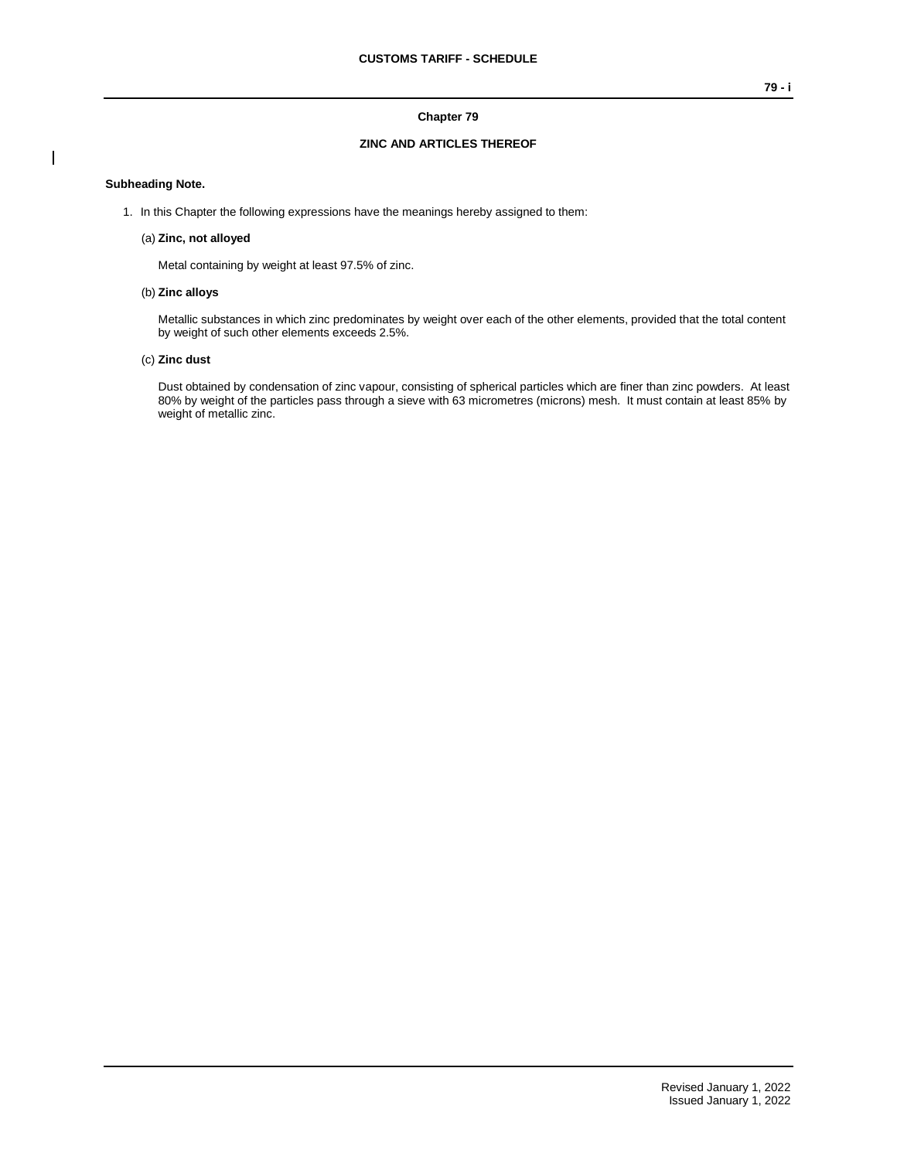## **Chapter 79**

# **ZINC AND ARTICLES THEREOF**

## **Subheading Note.**

 $\overline{\phantom{a}}$ 

1. In this Chapter the following expressions have the meanings hereby assigned to them:

#### (a) **Zinc, not alloyed**

Metal containing by weight at least 97.5% of zinc.

## (b) **Zinc alloys**

Metallic substances in which zinc predominates by weight over each of the other elements, provided that the total content by weight of such other elements exceeds 2.5%.

## (c) **Zinc dust**

Dust obtained by condensation of zinc vapour, consisting of spherical particles which are finer than zinc powders. At least 80% by weight of the particles pass through a sieve with 63 micrometres (microns) mesh. It must contain at least 85% by weight of metallic zinc.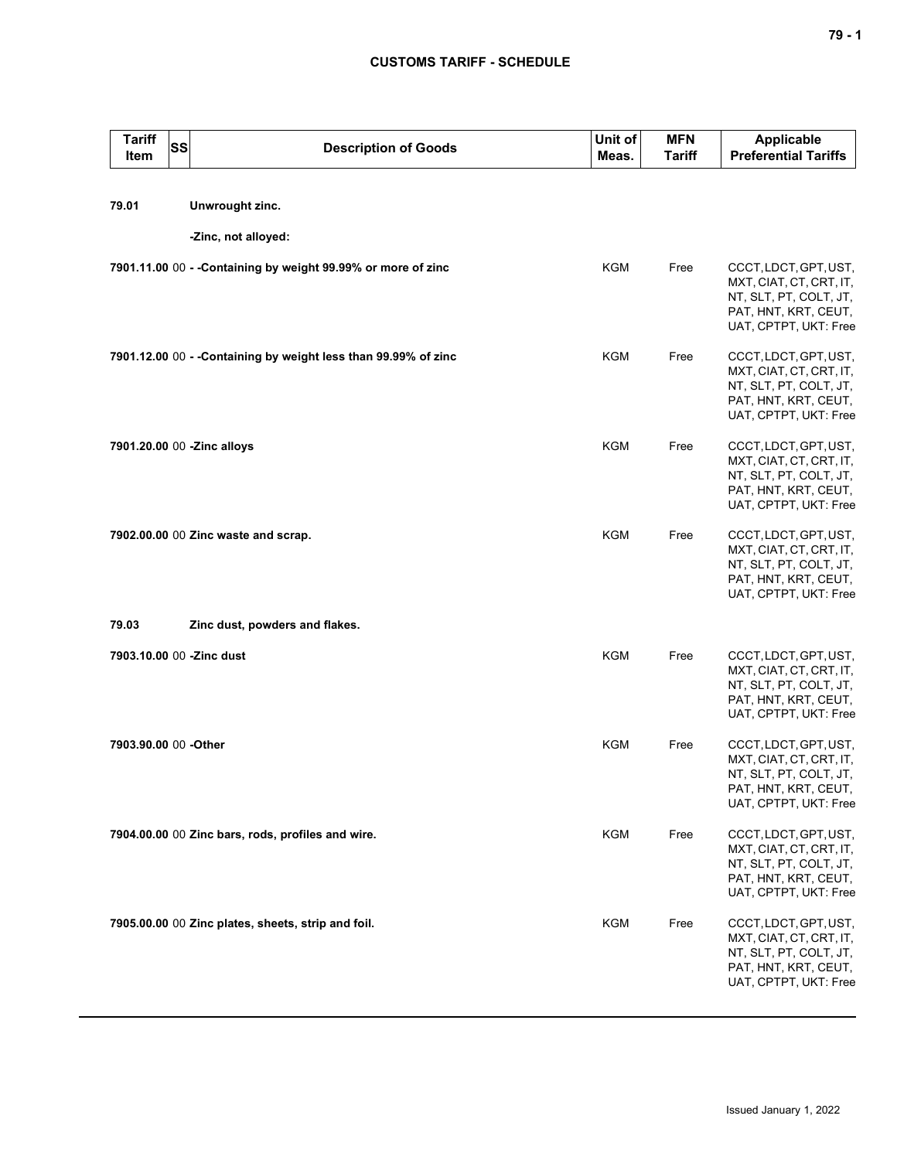| <b>Tariff</b><br>Item | <b>SS</b> | <b>Description of Goods</b>                                     | Unit of<br>Meas. | <b>MFN</b><br><b>Tariff</b> | <b>Applicable</b><br><b>Preferential Tariffs</b>                                                                            |
|-----------------------|-----------|-----------------------------------------------------------------|------------------|-----------------------------|-----------------------------------------------------------------------------------------------------------------------------|
| 79.01                 |           | Unwrought zinc.                                                 |                  |                             |                                                                                                                             |
|                       |           | -Zinc, not alloyed:                                             |                  |                             |                                                                                                                             |
|                       |           | 7901.11.00 00 - - Containing by weight 99.99% or more of zinc   | <b>KGM</b>       | Free                        | CCCT, LDCT, GPT, UST,<br>MXT, CIAT, CT, CRT, IT,<br>NT, SLT, PT, COLT, JT,<br>PAT, HNT, KRT, CEUT,<br>UAT, CPTPT, UKT: Free |
|                       |           | 7901.12.00 00 - - Containing by weight less than 99.99% of zinc | KGM              | Free                        | CCCT, LDCT, GPT, UST,<br>MXT, CIAT, CT, CRT, IT,<br>NT, SLT, PT, COLT, JT,<br>PAT, HNT, KRT, CEUT,<br>UAT, CPTPT, UKT: Free |
|                       |           | 7901.20.00 00 -Zinc alloys                                      | <b>KGM</b>       | Free                        | CCCT, LDCT, GPT, UST,<br>MXT, CIAT, CT, CRT, IT,<br>NT, SLT, PT, COLT, JT,<br>PAT, HNT, KRT, CEUT,<br>UAT, CPTPT, UKT: Free |
|                       |           | 7902.00.00 00 Zinc waste and scrap.                             | <b>KGM</b>       | Free                        | CCCT, LDCT, GPT, UST,<br>MXT, CIAT, CT, CRT, IT,<br>NT, SLT, PT, COLT, JT,<br>PAT, HNT, KRT, CEUT,<br>UAT, CPTPT, UKT: Free |
| 79.03                 |           | Zinc dust, powders and flakes.                                  |                  |                             |                                                                                                                             |
|                       |           | 7903.10.00 00 -Zinc dust                                        | <b>KGM</b>       | Free                        | CCCT, LDCT, GPT, UST,<br>MXT, CIAT, CT, CRT, IT,<br>NT, SLT, PT, COLT, JT,<br>PAT, HNT, KRT, CEUT,<br>UAT, CPTPT, UKT: Free |
| 7903.90.00 00 -Other  |           |                                                                 | <b>KGM</b>       | Free                        | CCCT, LDCT, GPT, UST,<br>MXT, CIAT, CT, CRT, IT,<br>NT, SLT, PT, COLT, JT,<br>PAT, HNT, KRT, CEUT,<br>UAT, CPTPT, UKT: Free |
|                       |           | 7904.00.00 00 Zinc bars, rods, profiles and wire.               | <b>KGM</b>       | Free                        | CCCT, LDCT, GPT, UST,<br>MXT, CIAT, CT, CRT, IT,<br>NT, SLT, PT, COLT, JT,<br>PAT, HNT, KRT, CEUT,<br>UAT, CPTPT, UKT: Free |
|                       |           | 7905.00.00 00 Zinc plates, sheets, strip and foil.              | <b>KGM</b>       | Free                        | CCCT, LDCT, GPT, UST,<br>MXT, CIAT, CT, CRT, IT,<br>NT, SLT, PT, COLT, JT,<br>PAT, HNT, KRT, CEUT,<br>UAT, CPTPT, UKT: Free |